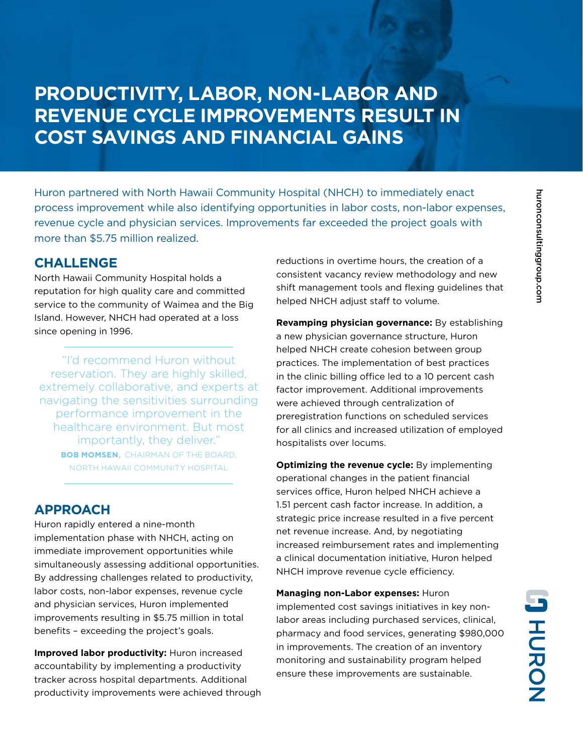## **PRODUCTIVITY, LABOR, NON-LABOR AND REVENUE CYCLE IMPROVEMENTS RESULT IN COST SAVINGS AND FINANCIAL GAINS**

Huron partnered with North Hawaii Community Hospital (NHCH) to immediately enact process improvement while also identifying opportunities in labor costs, non-labor expenses, revenue cycle and physician services. Improvements far exceeded the project goals with more than \$5.75 million realized.

## **CHALLENGE**

North Hawaii Community Hospital holds a reputation for high quality care and committed service to the community of Waimea and the Big Island. However, NHCH had operated at a loss since opening in 1996.

"I'd recommend Huron without reservation. They are highly skilled, extremely collaborative, and experts at navigating the sensitivities surrounding performance improvement in the healthcare environment. But most importantly, they deliver." **BOB MOMSEN**, CHAIRMAN OF THE BOARD, NORTH HAWAII COMMUNITY HOSPITAL

## **APPROACH**

Huron rapidly entered a nine-month implementation phase with NHCH, acting on immediate improvement opportunities while simultaneously assessing additional opportunities. By addressing challenges related to productivity, labor costs, non-labor expenses, revenue cycle and physician services, Huron implemented improvements resulting in \$5.75 million in total benefits – exceeding the project's goals.

**Improved labor productivity:** Huron increased accountability by implementing a productivity tracker across hospital departments. Additional productivity improvements were achieved through reductions in overtime hours, the creation of a consistent vacancy review methodology and new shift management tools and flexing guidelines that helped NHCH adjust staff to volume.

**Revamping physician governance:** By establishing a new physician governance structure, Huron helped NHCH create cohesion between group practices. The implementation of best practices in the clinic billing office led to a 10 percent cash factor improvement. Additional improvements were achieved through centralization of preregistration functions on scheduled services for all clinics and increased utilization of employed hospitalists over locums.

**Optimizing the revenue cycle:** By implementing operational changes in the patient financial services office, Huron helped NHCH achieve a 1.51 percent cash factor increase. In addition, a strategic price increase resulted in a five percent net revenue increase. And, by negotiating increased reimbursement rates and implementing a clinical documentation initiative, Huron helped NHCH improve revenue cycle efficiency.

**Managing non-Labor expenses:** Huron implemented cost savings initiatives in key nonlabor areas including purchased services, clinical, pharmacy and food services, generating \$980,000 in improvements. The creation of an inventory monitoring and sustainability program helped ensure these improvements are sustainable.